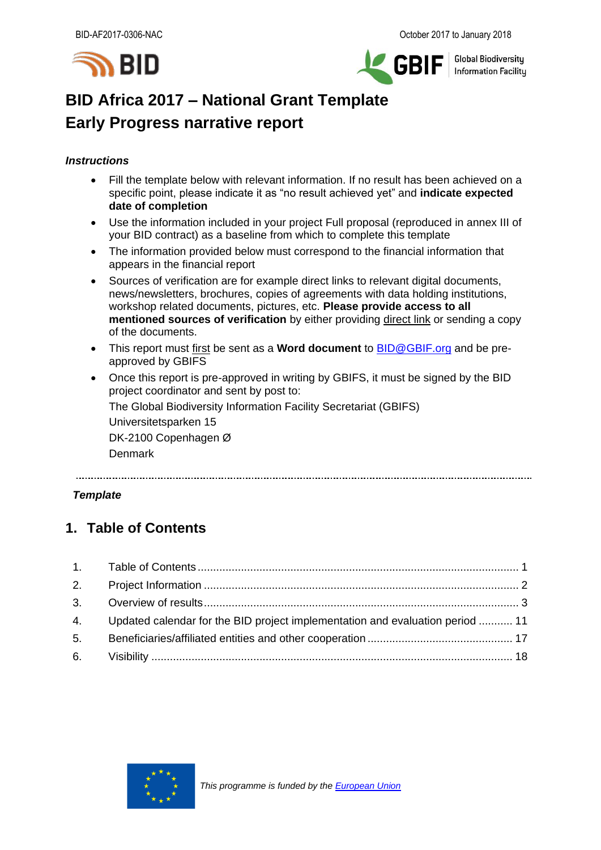



**Global Biodiversity Information Facility** 

# **BID Africa 2017 – National Grant Template Early Progress narrative report**

### *Instructions*

- Fill the template below with relevant information. If no result has been achieved on a specific point, please indicate it as "no result achieved yet" and **indicate expected date of completion**
- Use the information included in your project Full proposal (reproduced in annex III of your BID contract) as a baseline from which to complete this template
- The information provided below must correspond to the financial information that appears in the financial report
- Sources of verification are for example direct links to relevant digital documents, news/newsletters, brochures, copies of agreements with data holding institutions, workshop related documents, pictures, etc. **Please provide access to all mentioned sources of verification** by either providing direct link or sending a copy of the documents.
- This report must first be sent as a **Word document** to [BID@GBIF.org](mailto:BID@GBIF.org) and be preapproved by GBIFS
- Once this report is pre-approved in writing by GBIFS, it must be signed by the BID project coordinator and sent by post to:

The Global Biodiversity Information Facility Secretariat (GBIFS)

Universitetsparken 15

DK-2100 Copenhagen Ø

Denmark

### *Template*

### <span id="page-0-0"></span>**1. Table of Contents**

| 4. Updated calendar for the BID project implementation and evaluation period  11 |  |
|----------------------------------------------------------------------------------|--|
|                                                                                  |  |
|                                                                                  |  |

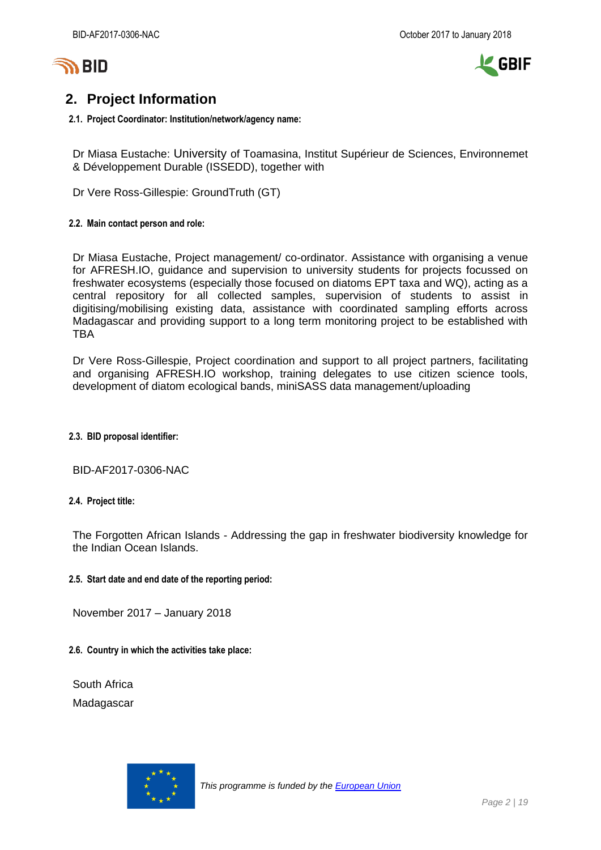



## <span id="page-1-0"></span>**2. Project Information**

### **2.1. Project Coordinator: Institution/network/agency name:**

Dr Miasa Eustache: University of Toamasina, Institut Supérieur de Sciences, Environnemet & Développement Durable (ISSEDD), together with

Dr Vere Ross-Gillespie: GroundTruth (GT)

### **2.2. Main contact person and role:**

Dr Miasa Eustache, Project management/ co-ordinator. Assistance with organising a venue for AFRESH.IO, guidance and supervision to university students for projects focussed on freshwater ecosystems (especially those focused on diatoms EPT taxa and WQ), acting as a central repository for all collected samples, supervision of students to assist in digitising/mobilising existing data, assistance with coordinated sampling efforts across Madagascar and providing support to a long term monitoring project to be established with TBA

Dr Vere Ross-Gillespie, Project coordination and support to all project partners, facilitating and organising AFRESH.IO workshop, training delegates to use citizen science tools, development of diatom ecological bands, miniSASS data management/uploading

### **2.3. BID proposal identifier:**

BID-AF2017-0306-NAC

### **2.4. Project title:**

The Forgotten African Islands - Addressing the gap in freshwater biodiversity knowledge for the Indian Ocean Islands.

### **2.5. Start date and end date of the reporting period:**

November 2017 – January 2018

### **2.6. Country in which the activities take place:**

South Africa Madagascar

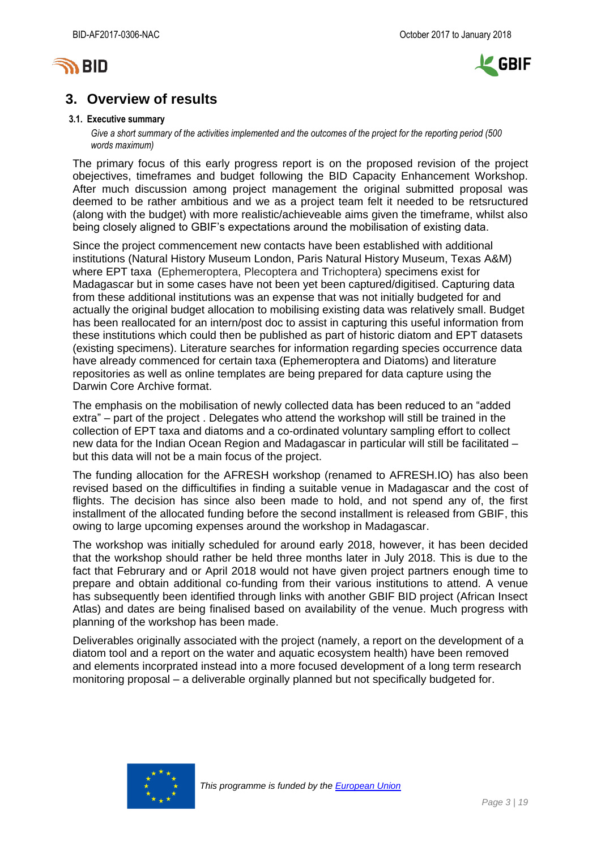



### <span id="page-2-0"></span>**3. Overview of results**

#### **3.1. Executive summary**

Give a short summary of the activities implemented and the outcomes of the project for the *reporting period* (500 *words maximum)*

The primary focus of this early progress report is on the proposed revision of the project obejectives, timeframes and budget following the BID Capacity Enhancement Workshop. After much discussion among project management the original submitted proposal was deemed to be rather ambitious and we as a project team felt it needed to be retsructured (along with the budget) with more realistic/achieveable aims given the timeframe, whilst also being closely aligned to GBIF's expectations around the mobilisation of existing data.

Since the project commencement new contacts have been established with additional institutions (Natural History Museum London, Paris Natural History Museum, Texas A&M) where EPT taxa (Ephemeroptera, Plecoptera and Trichoptera) specimens exist for Madagascar but in some cases have not been yet been captured/digitised. Capturing data from these additional institutions was an expense that was not initially budgeted for and actually the original budget allocation to mobilising existing data was relatively small. Budget has been reallocated for an intern/post doc to assist in capturing this useful information from these institutions which could then be published as part of historic diatom and EPT datasets (existing specimens). Literature searches for information regarding species occurrence data have already commenced for certain taxa (Ephemeroptera and Diatoms) and literature repositories as well as online templates are being prepared for data capture using the Darwin Core Archive format.

The emphasis on the mobilisation of newly collected data has been reduced to an "added extra" – part of the project . Delegates who attend the workshop will still be trained in the collection of EPT taxa and diatoms and a co-ordinated voluntary sampling effort to collect new data for the Indian Ocean Region and Madagascar in particular will still be facilitated – but this data will not be a main focus of the project.

The funding allocation for the AFRESH workshop (renamed to AFRESH.IO) has also been revised based on the difficultifies in finding a suitable venue in Madagascar and the cost of flights. The decision has since also been made to hold, and not spend any of, the first installment of the allocated funding before the second installment is released from GBIF, this owing to large upcoming expenses around the workshop in Madagascar.

The workshop was initially scheduled for around early 2018, however, it has been decided that the workshop should rather be held three months later in July 2018. This is due to the fact that Februrary and or April 2018 would not have given project partners enough time to prepare and obtain additional co-funding from their various institutions to attend. A venue has subsequently been identified through links with another GBIF BID project (African Insect Atlas) and dates are being finalised based on availability of the venue. Much progress with planning of the workshop has been made.

Deliverables originally associated with the project (namely, a report on the development of a diatom tool and a report on the water and aquatic ecosystem health) have been removed and elements incorprated instead into a more focused development of a long term research monitoring proposal – a deliverable orginally planned but not specifically budgeted for.

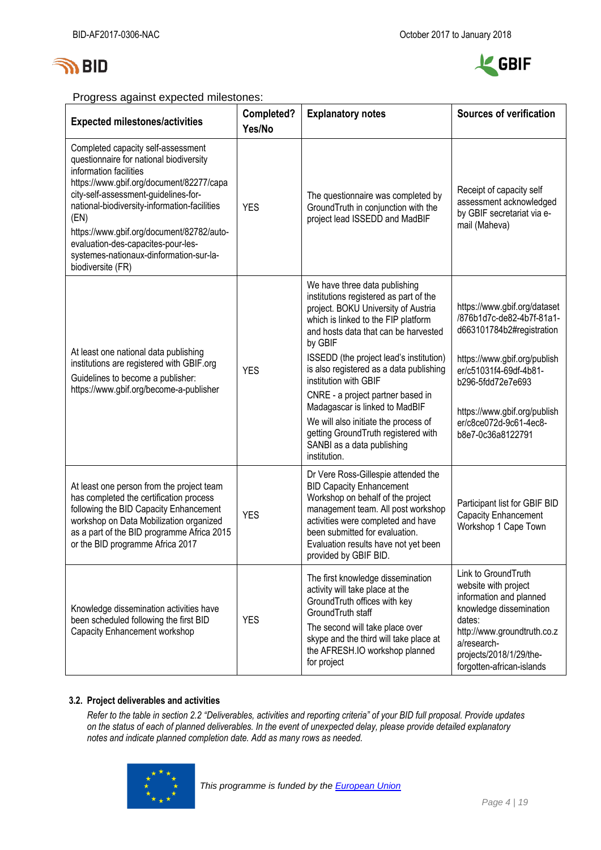



Progress against expected milestones:

| <b>Expected milestones/activities</b>                                                                                                                                                                                                                                                                                                                                                                  | Completed?<br>Yes/No | <b>Explanatory notes</b>                                                                                                                                                                                                                                                                                                                                                                                                                                                                                                    | <b>Sources of verification</b>                                                                                                                                                                                                                       |
|--------------------------------------------------------------------------------------------------------------------------------------------------------------------------------------------------------------------------------------------------------------------------------------------------------------------------------------------------------------------------------------------------------|----------------------|-----------------------------------------------------------------------------------------------------------------------------------------------------------------------------------------------------------------------------------------------------------------------------------------------------------------------------------------------------------------------------------------------------------------------------------------------------------------------------------------------------------------------------|------------------------------------------------------------------------------------------------------------------------------------------------------------------------------------------------------------------------------------------------------|
| Completed capacity self-assessment<br>questionnaire for national biodiversity<br>information facilities<br>https://www.gbif.org/document/82277/capa<br>city-self-assessment-guidelines-for-<br>national-biodiversity-information-facilities<br>(EN)<br>https://www.gbif.org/document/82782/auto-<br>evaluation-des-capacites-pour-les-<br>systemes-nationaux-dinformation-sur-la-<br>biodiversite (FR) | <b>YES</b>           | The questionnaire was completed by<br>GroundTruth in conjunction with the<br>project lead ISSEDD and MadBIF                                                                                                                                                                                                                                                                                                                                                                                                                 | Receipt of capacity self<br>assessment acknowledged<br>by GBIF secretariat via e-<br>mail (Maheva)                                                                                                                                                   |
| At least one national data publishing<br>institutions are registered with GBIF.org<br>Guidelines to become a publisher:<br>https://www.gbif.org/become-a-publisher                                                                                                                                                                                                                                     | <b>YES</b>           | We have three data publishing<br>institutions registered as part of the<br>project. BOKU University of Austria<br>which is linked to the FIP platform<br>and hosts data that can be harvested<br>by GBIF<br>ISSEDD (the project lead's institution)<br>is also registered as a data publishing<br>institution with GBIF<br>CNRE - a project partner based in<br>Madagascar is linked to MadBIF<br>We will also initiate the process of<br>getting GroundTruth registered with<br>SANBI as a data publishing<br>institution. | https://www.gbif.org/dataset<br>/876b1d7c-de82-4b7f-81a1-<br>d663101784b2#registration<br>https://www.gbif.org/publish<br>er/c51031f4-69df-4b81-<br>b296-5fdd72e7e693<br>https://www.gbif.org/publish<br>er/c8ce072d-9c61-4ec8-<br>b8e7-0c36a8122791 |
| At least one person from the project team<br>has completed the certification process<br>following the BID Capacity Enhancement<br>workshop on Data Mobilization organized<br>as a part of the BID programme Africa 2015<br>or the BID programme Africa 2017                                                                                                                                            | <b>YES</b>           | Dr Vere Ross-Gillespie attended the<br><b>BID Capacity Enhancement</b><br>Workshop on behalf of the project<br>management team. All post workshop<br>activities were completed and have<br>been submitted for evaluation.<br>Evaluation results have not yet been<br>provided by GBIF BID.                                                                                                                                                                                                                                  | Participant list for GBIF BID<br><b>Capacity Enhancement</b><br>Workshop 1 Cape Town                                                                                                                                                                 |
| Knowledge dissemination activities have<br>been scheduled following the first BID<br>Capacity Enhancement workshop                                                                                                                                                                                                                                                                                     | <b>YES</b>           | The first knowledge dissemination<br>activity will take place at the<br>GroundTruth offices with key<br>GroundTruth staff<br>The second will take place over<br>skype and the third will take place at<br>the AFRESH.IO workshop planned<br>for project                                                                                                                                                                                                                                                                     | Link to GroundTruth<br>website with project<br>information and planned<br>knowledge dissemination<br>dates:<br>http://www.groundtruth.co.z<br>a/research-<br>projects/2018/1/29/the-<br>forgotten-african-islands                                    |

### **3.2. Project deliverables and activities**

*Refer to the table in section 2.2 "Deliverables, activities and reporting criteria" of your BID full proposal. Provide updates on the status of each of planned deliverables. In the event of unexpected delay, please provide detailed explanatory notes and indicate planned completion date. Add as many rows as needed.*

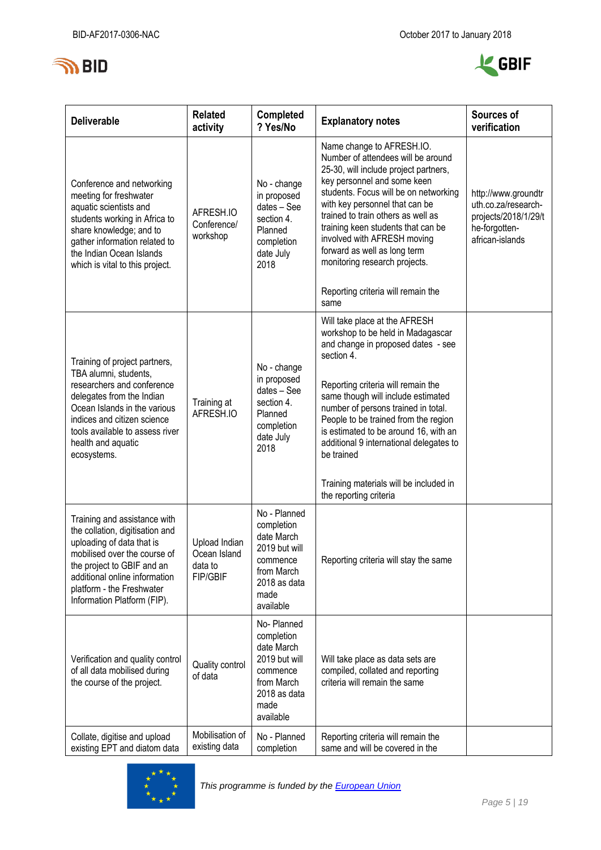



| <b>Deliverable</b>                                                                                                                                                                                                                                       | <b>Related</b><br>activity                                  | <b>Completed</b><br>? Yes/No                                                                                             | <b>Explanatory notes</b>                                                                                                                                                                                                                                                                                                                                                                                                             | Sources of<br>verification                                                                             |
|----------------------------------------------------------------------------------------------------------------------------------------------------------------------------------------------------------------------------------------------------------|-------------------------------------------------------------|--------------------------------------------------------------------------------------------------------------------------|--------------------------------------------------------------------------------------------------------------------------------------------------------------------------------------------------------------------------------------------------------------------------------------------------------------------------------------------------------------------------------------------------------------------------------------|--------------------------------------------------------------------------------------------------------|
| Conference and networking<br>meeting for freshwater<br>aquatic scientists and<br>students working in Africa to<br>share knowledge; and to<br>gather information related to<br>the Indian Ocean Islands<br>which is vital to this project.                | AFRESH.IO<br>Conference/<br>workshop                        | No - change<br>in proposed<br>dates - See<br>section 4.<br>Planned<br>completion<br>date July<br>2018                    | Name change to AFRESH.IO.<br>Number of attendees will be around<br>25-30, will include project partners,<br>key personnel and some keen<br>students. Focus will be on networking<br>with key personnel that can be<br>trained to train others as well as<br>training keen students that can be<br>involved with AFRESH moving<br>forward as well as long term<br>monitoring research projects.<br>Reporting criteria will remain the | http://www.groundtr<br>uth.co.za/research-<br>projects/2018/1/29/t<br>he-forgotten-<br>african-islands |
|                                                                                                                                                                                                                                                          |                                                             |                                                                                                                          | same                                                                                                                                                                                                                                                                                                                                                                                                                                 |                                                                                                        |
| Training of project partners,<br>TBA alumni, students,<br>researchers and conference<br>delegates from the Indian<br>Ocean Islands in the various<br>indices and citizen science<br>tools available to assess river<br>health and aquatic<br>ecosystems. | Training at<br>AFRESH.IO                                    | No - change<br>in proposed<br>dates - See<br>section 4.<br>Planned<br>completion<br>date July<br>2018                    | Will take place at the AFRESH<br>workshop to be held in Madagascar<br>and change in proposed dates - see<br>section 4.<br>Reporting criteria will remain the<br>same though will include estimated<br>number of persons trained in total.<br>People to be trained from the region<br>is estimated to be around 16, with an<br>additional 9 international delegates to<br>be trained                                                  |                                                                                                        |
|                                                                                                                                                                                                                                                          |                                                             |                                                                                                                          | Training materials will be included in<br>the reporting criteria                                                                                                                                                                                                                                                                                                                                                                     |                                                                                                        |
| Training and assistance with<br>the collation, digitisation and<br>uploading of data that is<br>mobilised over the course of<br>the project to GBIF and an<br>additional online information<br>platform - the Freshwater<br>Information Platform (FIP).  | Upload Indian<br>Ocean Island<br>data to<br><b>FIP/GBIF</b> | No - Planned<br>completion<br>date March<br>2019 but will<br>commence<br>from March<br>2018 as data<br>made<br>available | Reporting criteria will stay the same                                                                                                                                                                                                                                                                                                                                                                                                |                                                                                                        |
| Verification and quality control<br>of all data mobilised during<br>the course of the project.                                                                                                                                                           | Quality control<br>of data                                  | No-Planned<br>completion<br>date March<br>2019 but will<br>commence<br>from March<br>2018 as data<br>made<br>available   | Will take place as data sets are<br>compiled, collated and reporting<br>criteria will remain the same                                                                                                                                                                                                                                                                                                                                |                                                                                                        |
| Collate, digitise and upload<br>existing EPT and diatom data                                                                                                                                                                                             | Mobilisation of<br>existing data                            | No - Planned<br>completion                                                                                               | Reporting criteria will remain the<br>same and will be covered in the                                                                                                                                                                                                                                                                                                                                                                |                                                                                                        |

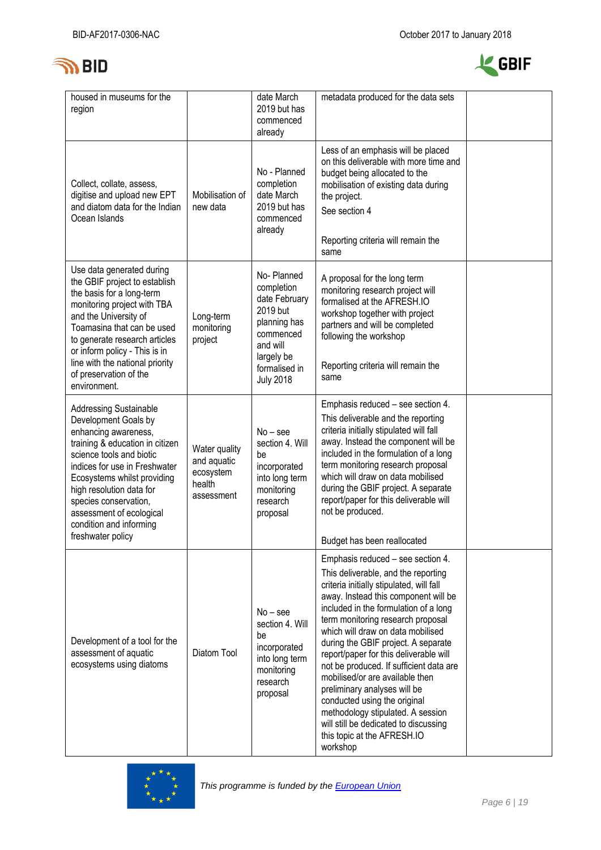



| housed in museums for the<br>region                                                                                                                                                                                                                                                                                                           |                                                                   | date March<br>2019 but has<br>commenced<br>already                                                                                                | metadata produced for the data sets                                                                                                                                                                                                                                                                                                                                                                                                                                                                                                                                                                                                     |  |
|-----------------------------------------------------------------------------------------------------------------------------------------------------------------------------------------------------------------------------------------------------------------------------------------------------------------------------------------------|-------------------------------------------------------------------|---------------------------------------------------------------------------------------------------------------------------------------------------|-----------------------------------------------------------------------------------------------------------------------------------------------------------------------------------------------------------------------------------------------------------------------------------------------------------------------------------------------------------------------------------------------------------------------------------------------------------------------------------------------------------------------------------------------------------------------------------------------------------------------------------------|--|
| Collect, collate, assess,<br>digitise and upload new EPT<br>and diatom data for the Indian<br>Ocean Islands                                                                                                                                                                                                                                   | Mobilisation of<br>new data                                       | No - Planned<br>completion<br>date March<br>2019 but has<br>commenced<br>already                                                                  | Less of an emphasis will be placed<br>on this deliverable with more time and<br>budget being allocated to the<br>mobilisation of existing data during<br>the project.<br>See section 4<br>Reporting criteria will remain the<br>same                                                                                                                                                                                                                                                                                                                                                                                                    |  |
| Use data generated during<br>the GBIF project to establish<br>the basis for a long-term<br>monitoring project with TBA<br>and the University of<br>Toamasina that can be used<br>to generate research articles<br>or inform policy - This is in<br>line with the national priority<br>of preservation of the<br>environment.                  | Long-term<br>monitoring<br>project                                | No-Planned<br>completion<br>date February<br>2019 but<br>planning has<br>commenced<br>and will<br>largely be<br>formalised in<br><b>July 2018</b> | A proposal for the long term<br>monitoring research project will<br>formalised at the AFRESH.IO<br>workshop together with project<br>partners and will be completed<br>following the workshop<br>Reporting criteria will remain the<br>same                                                                                                                                                                                                                                                                                                                                                                                             |  |
| <b>Addressing Sustainable</b><br>Development Goals by<br>enhancing awareness,<br>training & education in citizen<br>science tools and biotic<br>indices for use in Freshwater<br>Ecosystems whilst providing<br>high resolution data for<br>species conservation,<br>assessment of ecological<br>condition and informing<br>freshwater policy | Water quality<br>and aquatic<br>ecosystem<br>health<br>assessment | $No - see$<br>section 4. Will<br>be<br>incorporated<br>into long term<br>monitoring<br>research<br>proposal                                       | Emphasis reduced - see section 4.<br>This deliverable and the reporting<br>criteria initially stipulated will fall<br>away. Instead the component will be<br>included in the formulation of a long<br>term monitoring research proposal<br>which will draw on data mobilised<br>during the GBIF project. A separate<br>report/paper for this deliverable will<br>not be produced.<br>Budget has been reallocated                                                                                                                                                                                                                        |  |
| Development of a tool for the<br>assessment of aquatic<br>ecosystems using diatoms                                                                                                                                                                                                                                                            | Diatom Tool                                                       | $No - see$<br>section 4. Will<br>be<br>incorporated<br>into long term<br>monitoring<br>research<br>proposal                                       | Emphasis reduced – see section 4.<br>This deliverable, and the reporting<br>criteria initially stipulated, will fall<br>away. Instead this component will be<br>included in the formulation of a long<br>term monitoring research proposal<br>which will draw on data mobilised<br>during the GBIF project. A separate<br>report/paper for this deliverable will<br>not be produced. If sufficient data are<br>mobilised/or are available then<br>preliminary analyses will be<br>conducted using the original<br>methodology stipulated. A session<br>will still be dedicated to discussing<br>this topic at the AFRESH.IO<br>workshop |  |

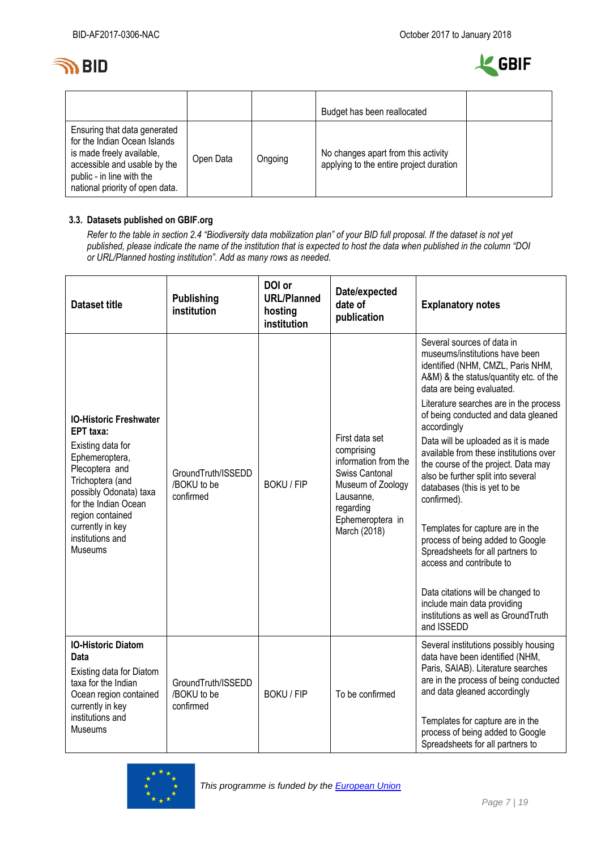



|                                                                                                                                                                                           |           |         | Budget has been reallocated                                                    |  |
|-------------------------------------------------------------------------------------------------------------------------------------------------------------------------------------------|-----------|---------|--------------------------------------------------------------------------------|--|
| Ensuring that data generated<br>for the Indian Ocean Islands<br>is made freely available,<br>accessible and usable by the<br>public - in line with the<br>national priority of open data. | Open Data | Ongoing | No changes apart from this activity<br>applying to the entire project duration |  |

### **3.3. Datasets published on GBIF.org**

*Refer to the table in section 2.4 "Biodiversity data mobilization plan" of your BID full proposal. If the dataset is not yet published, please indicate the name of the institution that is expected to host the data when published in the column "DOI or URL/Planned hosting institution". Add as many rows as needed.*

| <b>Dataset title</b>                                                                                                                                                                                                                                           | <b>Publishing</b><br>institution               | DOI or<br><b>URL/Planned</b><br>hosting<br>institution | Date/expected<br>date of<br>publication                                                                                                                   | <b>Explanatory notes</b>                                                                                                                                                                                                                                                                                                                                                                                                                                                                                                                                                                                                                                                                                                                               |
|----------------------------------------------------------------------------------------------------------------------------------------------------------------------------------------------------------------------------------------------------------------|------------------------------------------------|--------------------------------------------------------|-----------------------------------------------------------------------------------------------------------------------------------------------------------|--------------------------------------------------------------------------------------------------------------------------------------------------------------------------------------------------------------------------------------------------------------------------------------------------------------------------------------------------------------------------------------------------------------------------------------------------------------------------------------------------------------------------------------------------------------------------------------------------------------------------------------------------------------------------------------------------------------------------------------------------------|
| <b>IO-Historic Freshwater</b><br><b>EPT</b> taxa:<br>Existing data for<br>Ephemeroptera,<br>Plecoptera and<br>Trichoptera (and<br>possibly Odonata) taxa<br>for the Indian Ocean<br>region contained<br>currently in key<br>institutions and<br><b>Museums</b> | GroundTruth/ISSEDD<br>/BOKU to be<br>confirmed | <b>BOKU / FIP</b>                                      | First data set<br>comprising<br>information from the<br>Swiss Cantonal<br>Museum of Zoology<br>Lausanne,<br>regarding<br>Ephemeroptera in<br>March (2018) | Several sources of data in<br>museums/institutions have been<br>identified (NHM, CMZL, Paris NHM,<br>A&M) & the status/quantity etc. of the<br>data are being evaluated.<br>Literature searches are in the process<br>of being conducted and data gleaned<br>accordingly<br>Data will be uploaded as it is made<br>available from these institutions over<br>the course of the project. Data may<br>also be further split into several<br>databases (this is yet to be<br>confirmed).<br>Templates for capture are in the<br>process of being added to Google<br>Spreadsheets for all partners to<br>access and contribute to<br>Data citations will be changed to<br>include main data providing<br>institutions as well as GroundTruth<br>and ISSEDD |
| <b>IO-Historic Diatom</b><br>Data<br>Existing data for Diatom<br>taxa for the Indian<br>Ocean region contained<br>currently in key<br>institutions and<br>Museums                                                                                              | GroundTruth/ISSEDD<br>/BOKU to be<br>confirmed | <b>BOKU / FIP</b>                                      | To be confirmed                                                                                                                                           | Several institutions possibly housing<br>data have been identified (NHM,<br>Paris, SAIAB). Literature searches<br>are in the process of being conducted<br>and data gleaned accordingly<br>Templates for capture are in the<br>process of being added to Google<br>Spreadsheets for all partners to                                                                                                                                                                                                                                                                                                                                                                                                                                                    |

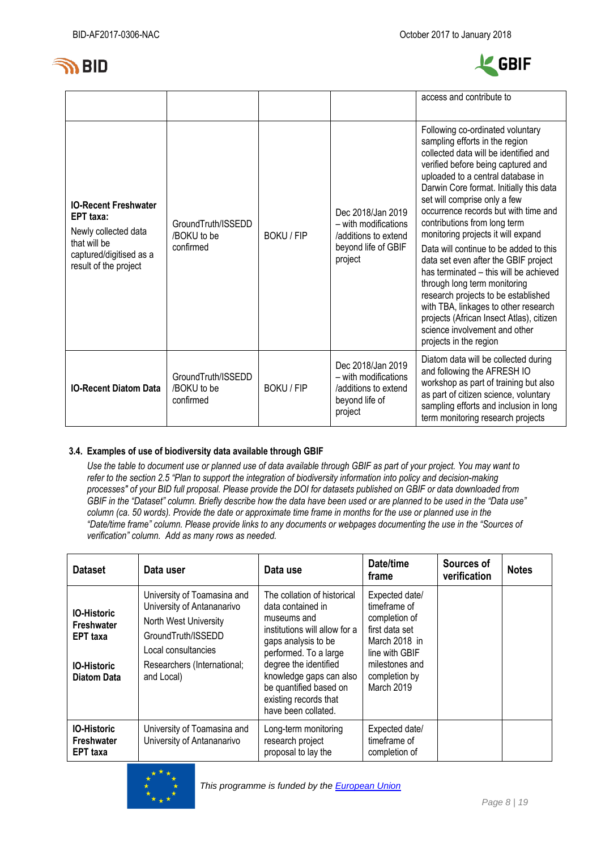



|                                                                                                                                      |                                                |                   |                                                                                                     | access and contribute to                                                                                                                                                                                                                                                                                                                                                                                                                                                                                                                                                                                                                                                                                                          |
|--------------------------------------------------------------------------------------------------------------------------------------|------------------------------------------------|-------------------|-----------------------------------------------------------------------------------------------------|-----------------------------------------------------------------------------------------------------------------------------------------------------------------------------------------------------------------------------------------------------------------------------------------------------------------------------------------------------------------------------------------------------------------------------------------------------------------------------------------------------------------------------------------------------------------------------------------------------------------------------------------------------------------------------------------------------------------------------------|
| <b>IO-Recent Freshwater</b><br>EPT taxa:<br>Newly collected data<br>that will be<br>captured/digitised as a<br>result of the project | GroundTruth/ISSEDD<br>/BOKU to be<br>confirmed | <b>BOKU / FIP</b> | Dec 2018/Jan 2019<br>- with modifications<br>/additions to extend<br>beyond life of GBIF<br>project | Following co-ordinated voluntary<br>sampling efforts in the region<br>collected data will be identified and<br>verified before being captured and<br>uploaded to a central database in<br>Darwin Core format. Initially this data<br>set will comprise only a few<br>occurrence records but with time and<br>contributions from long term<br>monitoring projects it will expand<br>Data will continue to be added to this<br>data set even after the GBIF project<br>has terminated - this will be achieved<br>through long term monitoring<br>research projects to be established<br>with TBA, linkages to other research<br>projects (African Insect Atlas), citizen<br>science involvement and other<br>projects in the region |
| <b>IO-Recent Diatom Data</b>                                                                                                         | GroundTruth/ISSEDD<br>/BOKU to be<br>confirmed | <b>BOKU / FIP</b> | Dec 2018/Jan 2019<br>- with modifications<br>/additions to extend<br>beyond life of<br>project      | Diatom data will be collected during<br>and following the AFRESH IO<br>workshop as part of training but also<br>as part of citizen science, voluntary<br>sampling efforts and inclusion in long<br>term monitoring research projects                                                                                                                                                                                                                                                                                                                                                                                                                                                                                              |

### **3.4. Examples of use of biodiversity data available through GBIF**

*Use the table to document use or planned use of data available through GBIF as part of your project. You may want to refer to the section 2.5 "Plan to support the integration of biodiversity information into policy and decision-making processes" of your BID full proposal. Please provide the DOI for datasets published on GBIF or data downloaded from GBIF in the "Dataset" column. Briefly describe how the data have been used or are planned to be used in the "Data use" column (ca. 50 words). Provide the date or approximate time frame in months for the use or planned use in the "Date/time frame" column. Please provide links to any documents or webpages documenting the use in the "Sources of verification" column. Add as many rows as needed.*

| <b>Dataset</b>                                                                                  | Data user                                                                                                                                                                    | Data use                                                                                                                                                                                                                                                                       | Date/time<br>frame                                                                                                                                    | Sources of<br>verification | <b>Notes</b> |
|-------------------------------------------------------------------------------------------------|------------------------------------------------------------------------------------------------------------------------------------------------------------------------------|--------------------------------------------------------------------------------------------------------------------------------------------------------------------------------------------------------------------------------------------------------------------------------|-------------------------------------------------------------------------------------------------------------------------------------------------------|----------------------------|--------------|
| <b>IO-Historic</b><br>Freshwater<br><b>EPT</b> taxa<br><b>IO-Historic</b><br><b>Diatom Data</b> | University of Toamasina and<br>University of Antananarivo<br>North West University<br>GroundTruth/ISSEDD<br>Local consultancies<br>Researchers (International;<br>and Local) | The collation of historical<br>data contained in<br>museums and<br>institutions will allow for a<br>gaps analysis to be<br>performed. To a large<br>degree the identified<br>knowledge gaps can also<br>be quantified based on<br>existing records that<br>have been collated. | Expected date/<br>timeframe of<br>completion of<br>first data set<br>March 2018 in<br>line with GBIF<br>milestones and<br>completion by<br>March 2019 |                            |              |
| <b>IO-Historic</b><br><b>Freshwater</b><br><b>EPT</b> taxa                                      | University of Toamasina and<br>University of Antananarivo                                                                                                                    | Long-term monitoring<br>research project<br>proposal to lay the                                                                                                                                                                                                                | Expected date/<br>timeframe of<br>completion of                                                                                                       |                            |              |

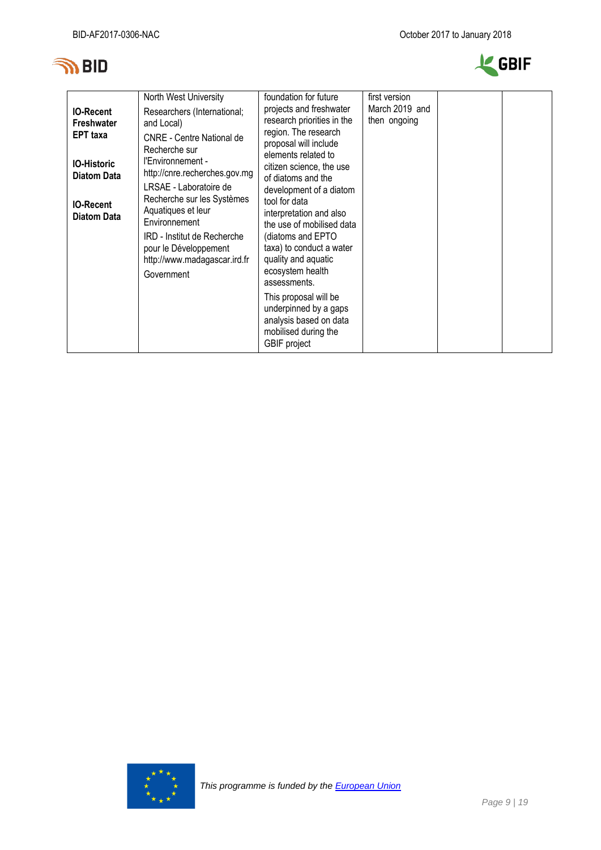



| <b>IO-Recent</b><br>Freshwater<br><b>EPT</b> taxa<br><b>IO-Historic</b><br><b>Diatom Data</b><br><b>IO-Recent</b><br><b>Diatom Data</b> | North West University<br>Researchers (International;<br>and Local)<br><b>CNRE</b> - Centre National de<br>Recherche sur<br>l'Environnement -<br>http://cnre.recherches.gov.mg<br>LRSAE - Laboratoire de<br>Recherche sur les Systèmes<br>Aquatiques et leur<br>Environnement<br>IRD - Institut de Recherche<br>pour le Développement<br>http://www.madagascar.ird.fr<br>Government | foundation for future<br>projects and freshwater<br>research priorities in the<br>region. The research<br>proposal will include<br>elements related to<br>citizen science, the use<br>of diatoms and the<br>development of a diatom<br>tool for data<br>interpretation and also<br>the use of mobilised data<br>(diatoms and EPTO<br>taxa) to conduct a water<br>quality and aquatic<br>ecosystem health<br>assessments.<br>This proposal will be<br>underpinned by a gaps<br>analysis based on data<br>mobilised during the<br><b>GBIF</b> project | first version<br>March 2019 and<br>then ongoing |  |  |
|-----------------------------------------------------------------------------------------------------------------------------------------|------------------------------------------------------------------------------------------------------------------------------------------------------------------------------------------------------------------------------------------------------------------------------------------------------------------------------------------------------------------------------------|-----------------------------------------------------------------------------------------------------------------------------------------------------------------------------------------------------------------------------------------------------------------------------------------------------------------------------------------------------------------------------------------------------------------------------------------------------------------------------------------------------------------------------------------------------|-------------------------------------------------|--|--|
|-----------------------------------------------------------------------------------------------------------------------------------------|------------------------------------------------------------------------------------------------------------------------------------------------------------------------------------------------------------------------------------------------------------------------------------------------------------------------------------------------------------------------------------|-----------------------------------------------------------------------------------------------------------------------------------------------------------------------------------------------------------------------------------------------------------------------------------------------------------------------------------------------------------------------------------------------------------------------------------------------------------------------------------------------------------------------------------------------------|-------------------------------------------------|--|--|

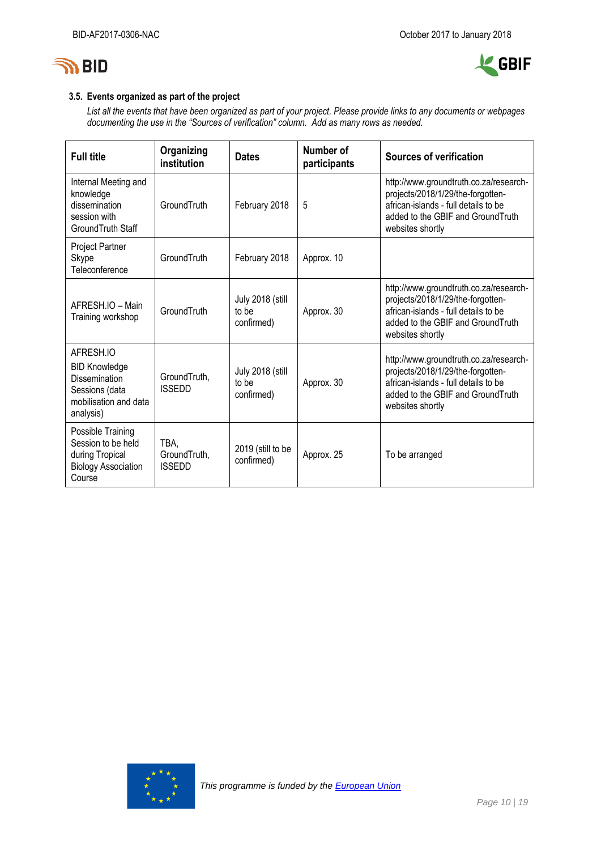



### **3.5. Events organized as part of the project**

*List all the events that have been organized as part of your project. Please provide links to any documents or webpages documenting the use in the "Sources of verification" column. Add as many rows as needed.*

| <b>Full title</b>                                                                                                 | Organizing<br>institution             | <b>Dates</b>                            | Number of<br>participants | <b>Sources of verification</b>                                                                                                                                                |
|-------------------------------------------------------------------------------------------------------------------|---------------------------------------|-----------------------------------------|---------------------------|-------------------------------------------------------------------------------------------------------------------------------------------------------------------------------|
| Internal Meeting and<br>knowledge<br>dissemination<br>session with<br>GroundTruth Staff                           | GroundTruth                           | February 2018                           | 5                         | http://www.groundtruth.co.za/research-<br>projects/2018/1/29/the-forgotten-<br>african-islands - full details to be<br>added to the GBIF and Ground Truth<br>websites shortly |
| Project Partner<br>Skype<br>Teleconference                                                                        | GroundTruth                           | February 2018                           | Approx. 10                |                                                                                                                                                                               |
| AFRESH IO - Main<br>Training workshop                                                                             | GroundTruth                           | July 2018 (still<br>to be<br>confirmed) | Approx. 30                | http://www.groundtruth.co.za/research-<br>projects/2018/1/29/the-forgotten-<br>african-islands - full details to be<br>added to the GBIF and GroundTruth<br>websites shortly  |
| AFRESH.IO<br><b>BID Knowledge</b><br><b>Dissemination</b><br>Sessions (data<br>mobilisation and data<br>analysis) | GroundTruth,<br><b>ISSEDD</b>         | July 2018 (still<br>to be<br>confirmed) | Approx. 30                | http://www.groundtruth.co.za/research-<br>projects/2018/1/29/the-forgotten-<br>african-islands - full details to be<br>added to the GBIF and GroundTruth<br>websites shortly  |
| Possible Training<br>Session to be held<br>during Tropical<br><b>Biology Association</b><br>Course                | TBA,<br>GroundTruth,<br><b>ISSEDD</b> | 2019 (still to be<br>confirmed)         | Approx. 25                | To be arranged                                                                                                                                                                |

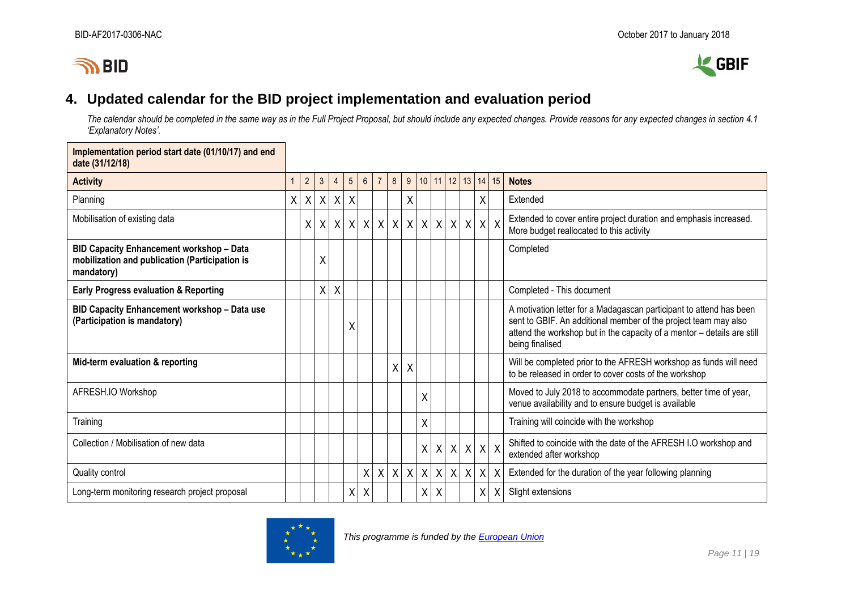# **IN BID**



## **4. Updated calendar for the BID project implementation and evaluation period**

*The calendar should be completed in the same way as in the Full Project Proposal, but should include any expected changes. Provide reasons for any expected changes in section 4.1 'Explanatory Notes'.*

<span id="page-10-0"></span>

| Implementation period start date (01/10/17) and end<br>date (31/12/18)                                          |   |                |                |                |                 |                  |                |                |            |   |              |               |         |            |    |                                                                                                                                                                                                                                      |
|-----------------------------------------------------------------------------------------------------------------|---|----------------|----------------|----------------|-----------------|------------------|----------------|----------------|------------|---|--------------|---------------|---------|------------|----|--------------------------------------------------------------------------------------------------------------------------------------------------------------------------------------------------------------------------------------|
| <b>Activity</b>                                                                                                 |   | $\overline{2}$ | 3 <sup>2</sup> | $\overline{4}$ | $5\overline{)}$ | $6\overline{6}$  | $\overline{7}$ | 8 <sup>1</sup> | 9          |   |              | 10 11 12 13   |         | 14         | 15 | <b>Notes</b>                                                                                                                                                                                                                         |
| Planning                                                                                                        | X | X              |                | $X$ $X$ $X$    |                 |                  |                |                | X          |   |              |               |         | X          |    | Extended                                                                                                                                                                                                                             |
| Mobilisation of existing data                                                                                   |   | X              |                | x   x   x      |                 | $\boldsymbol{X}$ | $\mathsf{X}$   |                | $X$ $X$    |   |              | x   x   x   x |         | $X$ $X$    |    | Extended to cover entire project duration and emphasis increased.<br>More budget reallocated to this activity                                                                                                                        |
| <b>BID Capacity Enhancement workshop - Data</b><br>mobilization and publication (Participation is<br>mandatory) |   |                | Χ              |                |                 |                  |                |                |            |   |              |               |         |            |    | Completed                                                                                                                                                                                                                            |
| <b>Early Progress evaluation &amp; Reporting</b>                                                                |   |                | $\mathsf{X}$   | Χ              |                 |                  |                |                |            |   |              |               |         |            |    | Completed - This document                                                                                                                                                                                                            |
| BID Capacity Enhancement workshop - Data use<br>(Participation is mandatory)                                    |   |                |                |                | Χ               |                  |                |                |            |   |              |               |         |            |    | A motivation letter for a Madagascan participant to attend has been<br>sent to GBIF. An additional member of the project team may also<br>attend the workshop but in the capacity of a mentor - details are still<br>being finalised |
| Mid-term evaluation & reporting                                                                                 |   |                |                |                |                 |                  |                | X              | X          |   |              |               |         |            |    | Will be completed prior to the AFRESH workshop as funds will need<br>to be released in order to cover costs of the workshop                                                                                                          |
| AFRESH.IO Workshop                                                                                              |   |                |                |                |                 |                  |                |                |            | Χ |              |               |         |            |    | Moved to July 2018 to accommodate partners, better time of year,<br>venue availability and to ensure budget is available                                                                                                             |
| Training                                                                                                        |   |                |                |                |                 |                  |                |                |            | X |              |               |         |            |    | Training will coincide with the workshop                                                                                                                                                                                             |
| Collection / Mobilisation of new data                                                                           |   |                |                |                |                 |                  |                |                |            | X | X            |               | $X$ $X$ | $x \mid x$ |    | Shifted to coincide with the date of the AFRESH I.O workshop and<br>extended after workshop                                                                                                                                          |
| Quality control                                                                                                 |   |                |                |                |                 | Χ                | $\sf X$        |                | $x \mid x$ | X | $\mathsf{X}$ |               | X X     | X          |    | Extended for the duration of the year following planning                                                                                                                                                                             |
| Long-term monitoring research project proposal                                                                  |   |                |                |                | Χ               | $\pmb{\chi}$     |                |                |            | X | X            |               |         | X          | X  | Slight extensions                                                                                                                                                                                                                    |

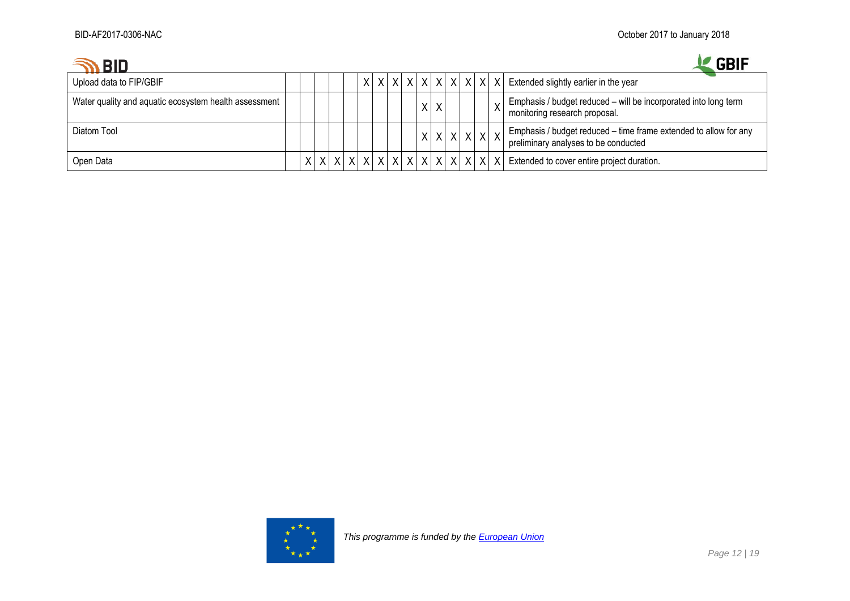## $\bigotimes$  RID



| טוס ו                                                 |  |  |  |  |             |  |  |  | .                                                                                                        |
|-------------------------------------------------------|--|--|--|--|-------------|--|--|--|----------------------------------------------------------------------------------------------------------|
| Upload data to FIP/GBIF                               |  |  |  |  |             |  |  |  | $ x x x x x x x x x x x x $ Extended slightly earlier in the year                                        |
| Water quality and aquatic ecosystem health assessment |  |  |  |  | X           |  |  |  | Emphasis / budget reduced - will be incorporated into long term<br>monitoring research proposal.         |
| Diatom Tool                                           |  |  |  |  | x x x x x x |  |  |  | Emphasis / budget reduced - time frame extended to allow for any<br>preliminary analyses to be conducted |
| Open Data                                             |  |  |  |  |             |  |  |  | $X X X X X X X X X X X X X X X $ Extended to cover entire project duration.                              |

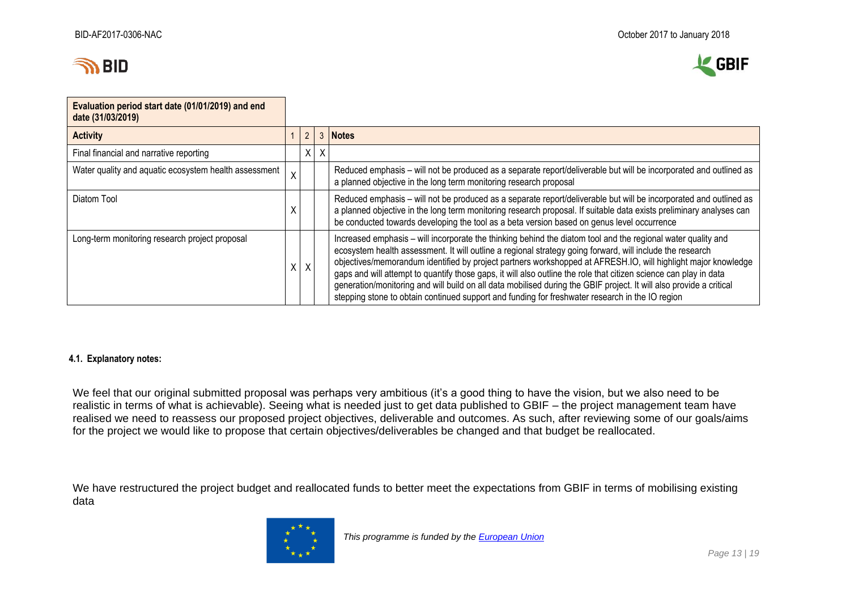



| Evaluation period start date (01/01/2019) and end<br>date (31/03/2019) |                         |                |   |                                                                                                                                                                                                                                                                                                                                                                                                                                                                                                                                                                                                                                                                                           |
|------------------------------------------------------------------------|-------------------------|----------------|---|-------------------------------------------------------------------------------------------------------------------------------------------------------------------------------------------------------------------------------------------------------------------------------------------------------------------------------------------------------------------------------------------------------------------------------------------------------------------------------------------------------------------------------------------------------------------------------------------------------------------------------------------------------------------------------------------|
| <b>Activity</b>                                                        |                         | $\overline{2}$ | 3 | <b>Notes</b>                                                                                                                                                                                                                                                                                                                                                                                                                                                                                                                                                                                                                                                                              |
| Final financial and narrative reporting                                |                         | Χ              | ∧ |                                                                                                                                                                                                                                                                                                                                                                                                                                                                                                                                                                                                                                                                                           |
| Water quality and aquatic ecosystem health assessment                  | $\overline{\mathsf{X}}$ |                |   | Reduced emphasis – will not be produced as a separate report/deliverable but will be incorporated and outlined as<br>a planned objective in the long term monitoring research proposal                                                                                                                                                                                                                                                                                                                                                                                                                                                                                                    |
| Diatom Tool                                                            |                         |                |   | Reduced emphasis – will not be produced as a separate report/deliverable but will be incorporated and outlined as<br>a planned objective in the long term monitoring research proposal. If suitable data exists preliminary analyses can<br>be conducted towards developing the tool as a beta version based on genus level occurrence                                                                                                                                                                                                                                                                                                                                                    |
| Long-term monitoring research project proposal                         | Χ                       | $\sf X$        |   | Increased emphasis - will incorporate the thinking behind the diatom tool and the regional water quality and<br>ecosystem health assessment. It will outline a regional strategy going forward, will include the research<br>objectives/memorandum identified by project partners workshopped at AFRESH.IO, will highlight major knowledge<br>gaps and will attempt to quantify those gaps, it will also outline the role that citizen science can play in data<br>generation/monitoring and will build on all data mobilised during the GBIF project. It will also provide a critical<br>stepping stone to obtain continued support and funding for freshwater research in the IO region |

### **4.1. Explanatory notes:**

We feel that our original submitted proposal was perhaps very ambitious (it's a good thing to have the vision, but we also need to be realistic in terms of what is achievable). Seeing what is needed just to get data published to GBIF – the project management team have realised we need to reassess our proposed project objectives, deliverable and outcomes. As such, after reviewing some of our goals/aims for the project we would like to propose that certain objectives/deliverables be changed and that budget be reallocated.

We have restructured the project budget and reallocated funds to better meet the expectations from GBIF in terms of mobilising existing data

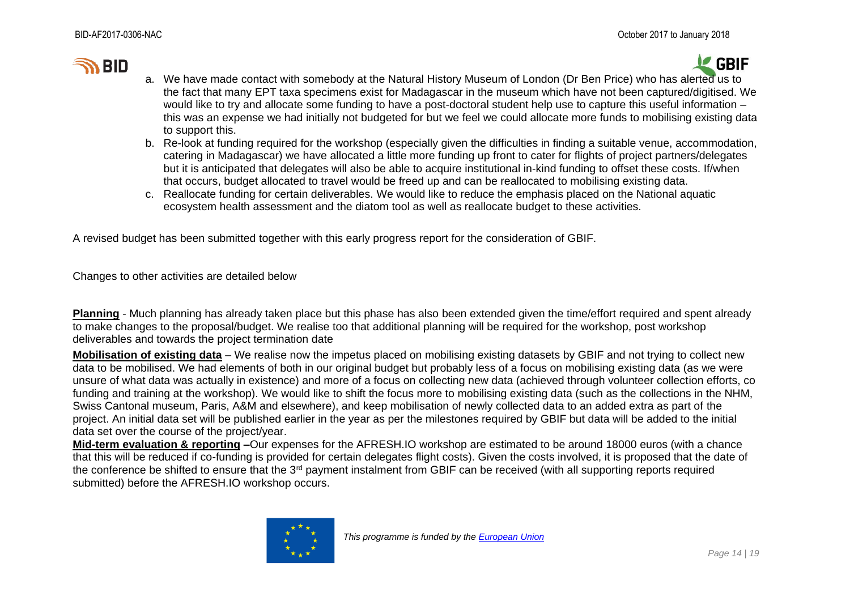# **IN BID**



- a. We have made contact with somebody at the Natural History Museum of London (Dr Ben Price) who has alerted us to the fact that many EPT taxa specimens exist for Madagascar in the museum which have not been captured/digitised. We would like to try and allocate some funding to have a post-doctoral student help use to capture this useful information – this was an expense we had initially not budgeted for but we feel we could allocate more funds to mobilising existing data to support this.
- b. Re-look at funding required for the workshop (especially given the difficulties in finding a suitable venue, accommodation, catering in Madagascar) we have allocated a little more funding up front to cater for flights of project partners/delegates but it is anticipated that delegates will also be able to acquire institutional in-kind funding to offset these costs. If/when that occurs, budget allocated to travel would be freed up and can be reallocated to mobilising existing data.
- c. Reallocate funding for certain deliverables. We would like to reduce the emphasis placed on the National aquatic ecosystem health assessment and the diatom tool as well as reallocate budget to these activities.

A revised budget has been submitted together with this early progress report for the consideration of GBIF.

Changes to other activities are detailed below

**Planning** - Much planning has already taken place but this phase has also been extended given the time/effort required and spent already to make changes to the proposal/budget. We realise too that additional planning will be required for the workshop, post workshop deliverables and towards the project termination date

**Mobilisation of existing data** – We realise now the impetus placed on mobilising existing datasets by GBIF and not trying to collect new data to be mobilised. We had elements of both in our original budget but probably less of a focus on mobilising existing data (as we were unsure of what data was actually in existence) and more of a focus on collecting new data (achieved through volunteer collection efforts, co funding and training at the workshop). We would like to shift the focus more to mobilising existing data (such as the collections in the NHM, Swiss Cantonal museum, Paris, A&M and elsewhere), and keep mobilisation of newly collected data to an added extra as part of the project. An initial data set will be published earlier in the year as per the milestones required by GBIF but data will be added to the initial data set over the course of the project/year.

**Mid-term evaluation & reporting –**Our expenses for the AFRESH.IO workshop are estimated to be around 18000 euros (with a chance that this will be reduced if co-funding is provided for certain delegates flight costs). Given the costs involved, it is proposed that the date of the conference be shifted to ensure that the 3<sup>rd</sup> payment instalment from GBIF can be received (with all supporting reports required submitted) before the AFRESH.IO workshop occurs.

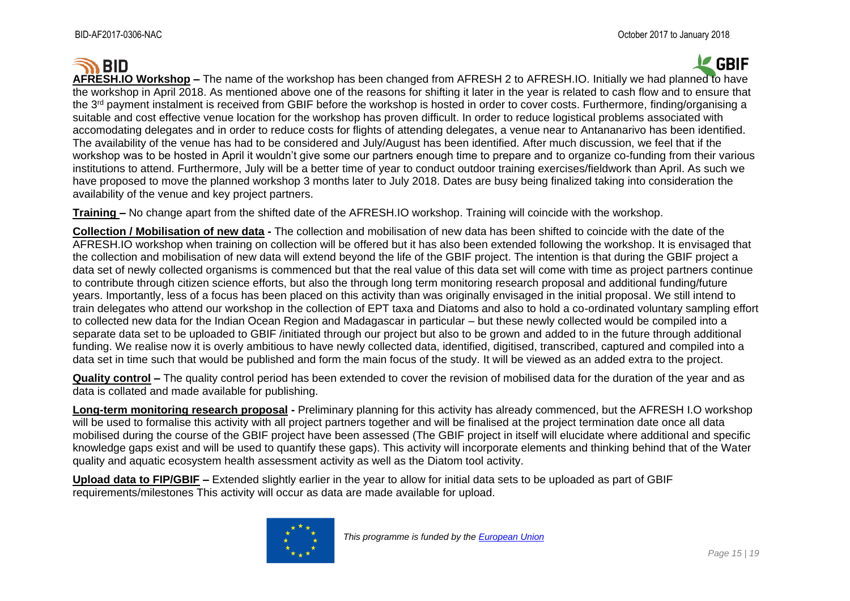#### **GBIF SO BID AFRESH.IO Workshop –** The name of the workshop has been changed from AFRESH 2 to AFRESH.IO. Initially we had planned to have the workshop in April 2018. As mentioned above one of the reasons for shifting it later in the year is related to cash flow and to ensure that the 3<sup>rd</sup> payment instalment is received from GBIF before the workshop is hosted in order to cover costs. Furthermore, finding/organising a suitable and cost effective venue location for the workshop has proven difficult. In order to reduce logistical problems associated with accomodating delegates and in order to reduce costs for flights of attending delegates, a venue near to Antananarivo has been identified. The availability of the venue has had to be considered and July/August has been identified. After much discussion, we feel that if the workshop was to be hosted in April it wouldn't give some our partners enough time to prepare and to organize co-funding from their various institutions to attend. Furthermore, July will be a better time of year to conduct outdoor training exercises/fieldwork than April. As such we have proposed to move the planned workshop 3 months later to July 2018. Dates are busy being finalized taking into consideration the availability of the venue and key project partners.

**Training –** No change apart from the shifted date of the AFRESH.IO workshop. Training will coincide with the workshop.

**Collection / Mobilisation of new data -** The collection and mobilisation of new data has been shifted to coincide with the date of the AFRESH.IO workshop when training on collection will be offered but it has also been extended following the workshop. It is envisaged that the collection and mobilisation of new data will extend beyond the life of the GBIF project. The intention is that during the GBIF project a data set of newly collected organisms is commenced but that the real value of this data set will come with time as project partners continue to contribute through citizen science efforts, but also the through long term monitoring research proposal and additional funding/future years. Importantly, less of a focus has been placed on this activity than was originally envisaged in the initial proposal. We still intend to train delegates who attend our workshop in the collection of EPT taxa and Diatoms and also to hold a co-ordinated voluntary sampling effort to collected new data for the Indian Ocean Region and Madagascar in particular – but these newly collected would be compiled into a separate data set to be uploaded to GBIF /initiated through our project but also to be grown and added to in the future through additional funding. We realise now it is overly ambitious to have newly collected data, identified, digitised, transcribed, captured and compiled into a data set in time such that would be published and form the main focus of the study. It will be viewed as an added extra to the project.

**Quality control –** The quality control period has been extended to cover the revision of mobilised data for the duration of the year and as data is collated and made available for publishing.

**Long-term monitoring research proposal -** Preliminary planning for this activity has already commenced, but the AFRESH I.O workshop will be used to formalise this activity with all project partners together and will be finalised at the project termination date once all data mobilised during the course of the GBIF project have been assessed (The GBIF project in itself will elucidate where additional and specific knowledge gaps exist and will be used to quantify these gaps). This activity will incorporate elements and thinking behind that of the Water quality and aquatic ecosystem health assessment activity as well as the Diatom tool activity.

**Upload data to FIP/GBIF –** Extended slightly earlier in the year to allow for initial data sets to be uploaded as part of GBIF requirements/milestones This activity will occur as data are made available for upload.



 *This programme is funded by the [European Union](http://europa.eu/)*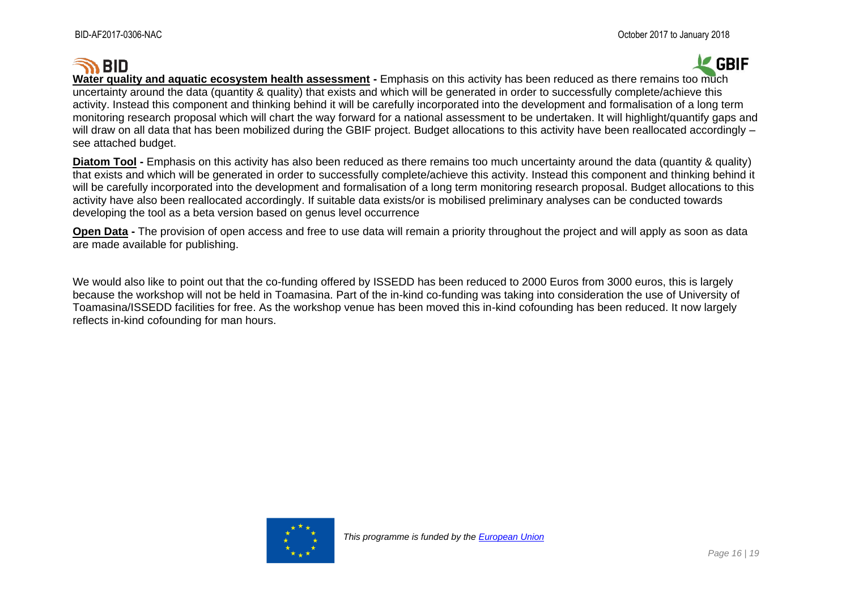# **SO BID**

# **GBIF**

**Water quality and aquatic ecosystem health assessment -** Emphasis on this activity has been reduced as there remains too much uncertainty around the data (quantity & quality) that exists and which will be generated in order to successfully complete/achieve this activity. Instead this component and thinking behind it will be carefully incorporated into the development and formalisation of a long term monitoring research proposal which will chart the way forward for a national assessment to be undertaken. It will highlight/quantify gaps and will draw on all data that has been mobilized during the GBIF project. Budget allocations to this activity have been reallocated accordingly – see attached budget.

**Diatom Tool -** Emphasis on this activity has also been reduced as there remains too much uncertainty around the data (quantity & quality) that exists and which will be generated in order to successfully complete/achieve this activity. Instead this component and thinking behind it will be carefully incorporated into the development and formalisation of a long term monitoring research proposal. Budget allocations to this activity have also been reallocated accordingly. If suitable data exists/or is mobilised preliminary analyses can be conducted towards developing the tool as a beta version based on genus level occurrence

**Open Data -** The provision of open access and free to use data will remain a priority throughout the project and will apply as soon as data are made available for publishing.

We would also like to point out that the co-funding offered by ISSEDD has been reduced to 2000 Euros from 3000 euros, this is largely because the workshop will not be held in Toamasina. Part of the in-kind co-funding was taking into consideration the use of University of Toamasina/ISSEDD facilities for free. As the workshop venue has been moved this in-kind cofounding has been reduced. It now largely reflects in-kind cofounding for man hours.

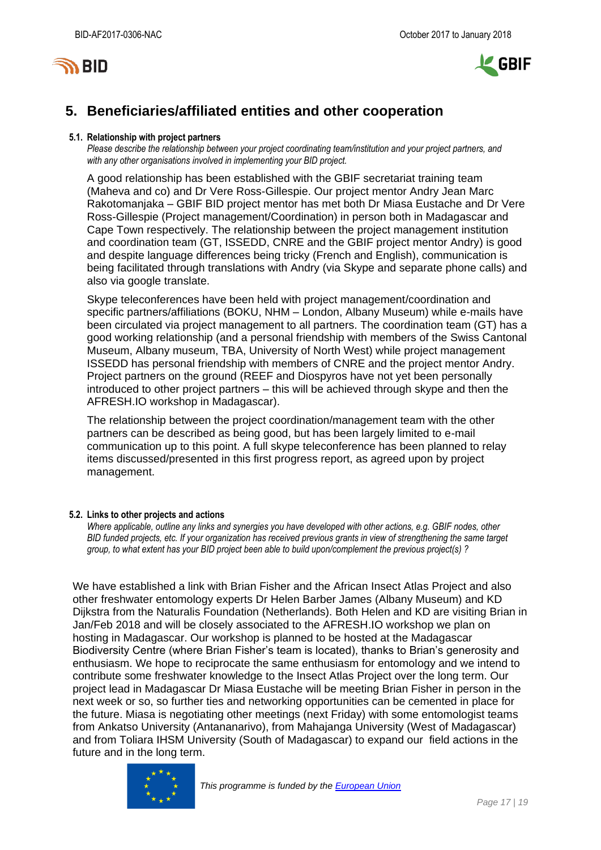



## <span id="page-16-0"></span>**5. Beneficiaries/affiliated entities and other cooperation**

### **5.1. Relationship with project partners**

*Please describe the relationship between your project coordinating team/institution and your project partners, and with any other organisations involved in implementing your BID project.*

A good relationship has been established with the GBIF secretariat training team (Maheva and co) and Dr Vere Ross-Gillespie. Our project mentor Andry Jean Marc Rakotomanjaka – GBIF BID project mentor has met both Dr Miasa Eustache and Dr Vere Ross-Gillespie (Project management/Coordination) in person both in Madagascar and Cape Town respectively. The relationship between the project management institution and coordination team (GT, ISSEDD, CNRE and the GBIF project mentor Andry) is good and despite language differences being tricky (French and English), communication is being facilitated through translations with Andry (via Skype and separate phone calls) and also via google translate.

Skype teleconferences have been held with project management/coordination and specific partners/affiliations (BOKU, NHM – London, Albany Museum) while e-mails have been circulated via project management to all partners. The coordination team (GT) has a good working relationship (and a personal friendship with members of the Swiss Cantonal Museum, Albany museum, TBA, University of North West) while project management ISSEDD has personal friendship with members of CNRE and the project mentor Andry. Project partners on the ground (REEF and Diospyros have not yet been personally introduced to other project partners – this will be achieved through skype and then the AFRESH.IO workshop in Madagascar).

The relationship between the project coordination/management team with the other partners can be described as being good, but has been largely limited to e-mail communication up to this point. A full skype teleconference has been planned to relay items discussed/presented in this first progress report, as agreed upon by project management.

### **5.2. Links to other projects and actions**

*Where applicable, outline any links and synergies you have developed with other actions, e.g. GBIF nodes, other BID funded projects, etc. If your organization has received previous grants in view of strengthening the same target group, to what extent has your BID project been able to build upon/complement the previous project(s) ?*

We have established a link with Brian Fisher and the African Insect Atlas Project and also other freshwater entomology experts Dr Helen Barber James (Albany Museum) and KD Dijkstra from the Naturalis Foundation (Netherlands). Both Helen and KD are visiting Brian in Jan/Feb 2018 and will be closely associated to the AFRESH.IO workshop we plan on hosting in Madagascar. Our workshop is planned to be hosted at the Madagascar Biodiversity Centre (where Brian Fisher's team is located), thanks to Brian's generosity and enthusiasm. We hope to reciprocate the same enthusiasm for entomology and we intend to contribute some freshwater knowledge to the Insect Atlas Project over the long term. Our project lead in Madagascar Dr Miasa Eustache will be meeting Brian Fisher in person in the next week or so, so further ties and networking opportunities can be cemented in place for the future. Miasa is negotiating other meetings (next Friday) with some entomologist teams from Ankatso University (Antananarivo), from Mahajanga University (West of Madagascar) and from Toliara IHSM University (South of Madagascar) to expand our field actions in the future and in the long term.

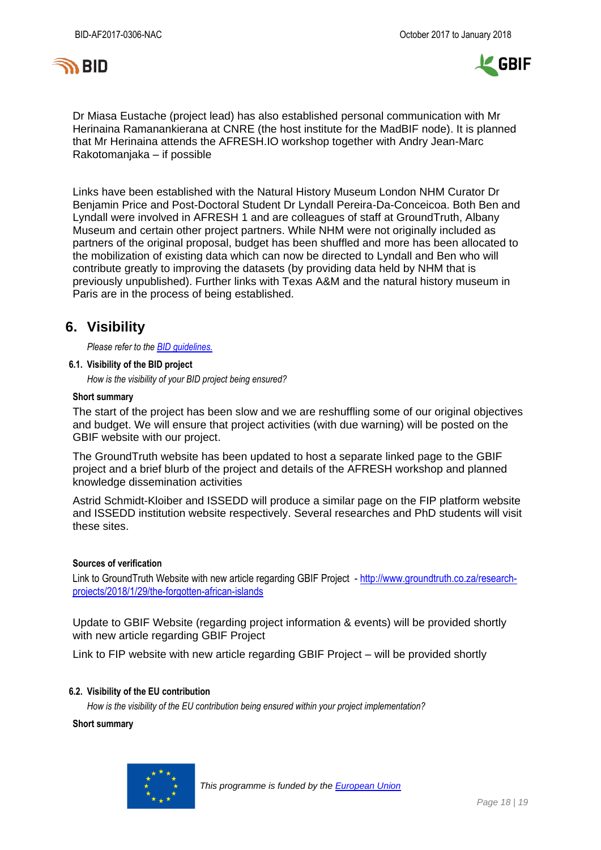



Dr Miasa Eustache (project lead) has also established personal communication with Mr Herinaina Ramanankierana at CNRE (the host institute for the MadBIF node). It is planned that Mr Herinaina attends the AFRESH.IO workshop together with Andry Jean-Marc Rakotomanjaka – if possible

Links have been established with the Natural History Museum London NHM Curator Dr Benjamin Price and Post-Doctoral Student Dr Lyndall Pereira-Da-Conceicoa. Both Ben and Lyndall were involved in AFRESH 1 and are colleagues of staff at GroundTruth, Albany Museum and certain other project partners. While NHM were not originally included as partners of the original proposal, budget has been shuffled and more has been allocated to the mobilization of existing data which can now be directed to Lyndall and Ben who will contribute greatly to improving the datasets (by providing data held by NHM that is previously unpublished). Further links with Texas A&M and the natural history museum in Paris are in the process of being established.

### <span id="page-17-0"></span>**6. Visibility**

*Please refer to th[e BID guidelines.](http://bid.gbif.org/en/community/communication-guidelines/)*

**6.1. Visibility of the BID project**

*How is the visibility of your BID project being ensured?*

#### **Short summary**

The start of the project has been slow and we are reshuffling some of our original objectives and budget. We will ensure that project activities (with due warning) will be posted on the GBIF website with our project.

The GroundTruth website has been updated to host a separate linked page to the GBIF project and a brief blurb of the project and details of the AFRESH workshop and planned knowledge dissemination activities

Astrid Schmidt-Kloiber and ISSEDD will produce a similar page on the FIP platform website and ISSEDD institution website respectively. Several researches and PhD students will visit these sites.

### **Sources of verification**

Link to GroundTruth Website with new article regarding GBIF Project - [http://www.groundtruth.co.za/research](http://www.groundtruth.co.za/research-projects/2018/1/29/the-forgotten-african-islands)[projects/2018/1/29/the-forgotten-african-islands](http://www.groundtruth.co.za/research-projects/2018/1/29/the-forgotten-african-islands)

Update to GBIF Website (regarding project information & events) will be provided shortly with new article regarding GBIF Project

Link to FIP website with new article regarding GBIF Project – will be provided shortly

### **6.2. Visibility of the EU contribution**

*How is the visibility of the EU contribution being ensured within your project implementation?*

**Short summary**